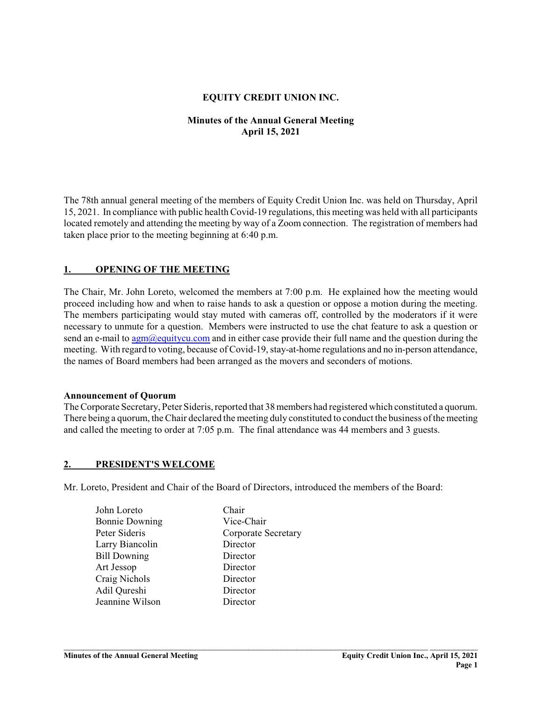### **EQUITY CREDIT UNION INC.**

## **Minutes of the Annual General Meeting April 15, 2021**

The 78th annual general meeting of the members of Equity Credit Union Inc. was held on Thursday, April 15, 2021. In compliance with public health Covid-19 regulations, this meeting was held with all participants located remotely and attending the meeting by way of a Zoom connection. The registration of members had taken place prior to the meeting beginning at 6:40 p.m.

### **1. OPENING OF THE MEETING**

The Chair, Mr. John Loreto, welcomed the members at 7:00 p.m. He explained how the meeting would proceed including how and when to raise hands to ask a question or oppose a motion during the meeting. The members participating would stay muted with cameras off, controlled by the moderators if it were necessary to unmute for a question. Members were instructed to use the chat feature to ask a question or send an e-mail to  $\frac{agm}{\omega}$ equitycu.com and in either case provide their full name and the question during the meeting. With regard to voting, because of Covid-19, stay-at-home regulations and no in-person attendance, the names of Board members had been arranged as the movers and seconders of motions.

#### **Announcement of Quorum**

The Corporate Secretary, Peter Sideris, reported that 38 members had registered which constituted a quorum. There being a quorum, the Chair declared the meeting duly constituted to conduct the business ofthe meeting and called the meeting to order at 7:05 p.m. The final attendance was 44 members and 3 guests.

#### **2. PRESIDENT'S WELCOME**

Mr. Loreto, President and Chair of the Board of Directors, introduced the members of the Board:

- John Loreto Chair Bonnie Downing Vice-Chair Peter Sideris Corporate Secretary Larry Biancolin Director Bill Downing Director Art Jessop Director Craig Nichols Director Adil Qureshi Director Jeannine Wilson Director
	-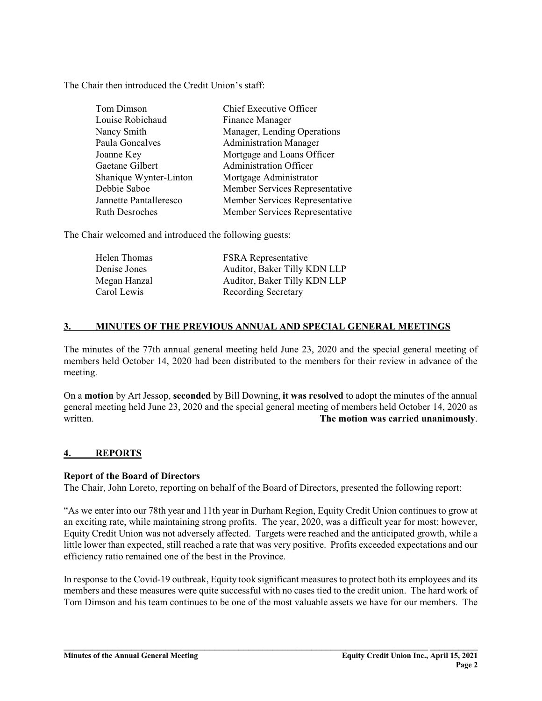The Chair then introduced the Credit Union's staff:

| Tom Dimson             | Chief Executive Officer        |
|------------------------|--------------------------------|
| Louise Robichaud       | Finance Manager                |
| Nancy Smith            | Manager, Lending Operations    |
| Paula Goncalves        | <b>Administration Manager</b>  |
| Joanne Key             | Mortgage and Loans Officer     |
| Gaetane Gilbert        | <b>Administration Officer</b>  |
| Shanique Wynter-Linton | Mortgage Administrator         |
| Debbie Saboe           | Member Services Representative |
| Jannette Pantalleresco | Member Services Representative |
| <b>Ruth Desroches</b>  | Member Services Representative |

The Chair welcomed and introduced the following guests:

| Helen Thomas | <b>FSRA</b> Representative   |
|--------------|------------------------------|
| Denise Jones | Auditor, Baker Tilly KDN LLP |
| Megan Hanzal | Auditor, Baker Tilly KDN LLP |
| Carol Lewis  | Recording Secretary          |

### **3. MINUTES OF THE PREVIOUS ANNUAL AND SPECIAL GENERAL MEETINGS**

The minutes of the 77th annual general meeting held June 23, 2020 and the special general meeting of members held October 14, 2020 had been distributed to the members for their review in advance of the meeting.

On a **motion** by Art Jessop, **seconded** by Bill Downing, **it was resolved** to adopt the minutes of the annual general meeting held June 23, 2020 and the special general meeting of members held October 14, 2020 as written. **The motion was carried unanimously**.

## **4. REPORTS**

#### **Report of the Board of Directors**

The Chair, John Loreto, reporting on behalf of the Board of Directors, presented the following report:

"As we enter into our 78th year and 11th year in Durham Region, Equity Credit Union continues to grow at an exciting rate, while maintaining strong profits. The year, 2020, was a difficult year for most; however, Equity Credit Union was not adversely affected. Targets were reached and the anticipated growth, while a little lower than expected, still reached a rate that was very positive. Profits exceeded expectations and our efficiency ratio remained one of the best in the Province.

In response to the Covid-19 outbreak, Equity took significant measures to protect both its employees and its members and these measures were quite successful with no cases tied to the credit union. The hard work of Tom Dimson and his team continues to be one of the most valuable assets we have for our members. The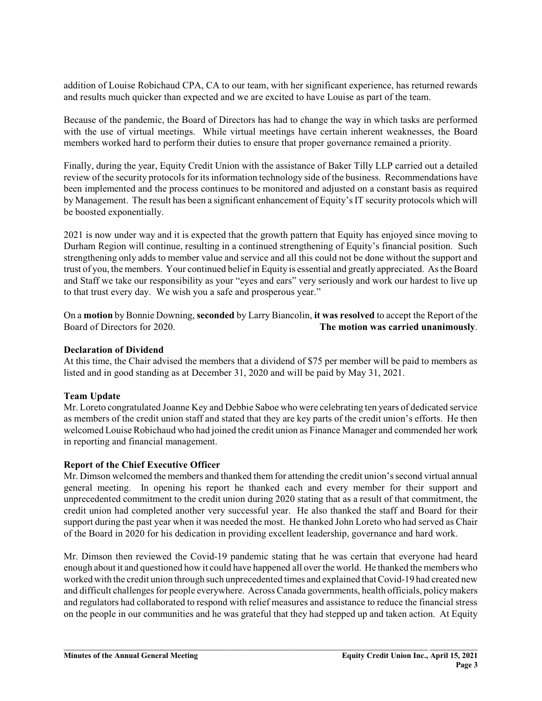addition of Louise Robichaud CPA, CA to our team, with her significant experience, has returned rewards and results much quicker than expected and we are excited to have Louise as part of the team.

Because of the pandemic, the Board of Directors has had to change the way in which tasks are performed with the use of virtual meetings. While virtual meetings have certain inherent weaknesses, the Board members worked hard to perform their duties to ensure that proper governance remained a priority.

Finally, during the year, Equity Credit Union with the assistance of Baker Tilly LLP carried out a detailed review of the security protocols for its information technology side of the business. Recommendations have been implemented and the process continues to be monitored and adjusted on a constant basis as required by Management. The result has been a significant enhancement of Equity's IT security protocols which will be boosted exponentially.

2021 is now under way and it is expected that the growth pattern that Equity has enjoyed since moving to Durham Region will continue, resulting in a continued strengthening of Equity's financial position. Such strengthening only adds to member value and service and all this could not be done without the support and trust of you, the members. Your continued belief in Equity is essential and greatly appreciated. As the Board and Staff we take our responsibility as your "eyes and ears" very seriously and work our hardest to live up to that trust every day. We wish you a safe and prosperous year."

On a **motion** by Bonnie Downing, **seconded** by Larry Biancolin, **it was resolved** to accept the Report of the The motion was carried unanimously.

### **Declaration of Dividend**

At this time, the Chair advised the members that a dividend of \$75 per member will be paid to members as listed and in good standing as at December 31, 2020 and will be paid by May 31, 2021.

## **Team Update**

Mr. Loreto congratulated Joanne Key and Debbie Saboe who were celebrating ten years of dedicated service as members of the credit union staff and stated that they are key parts of the credit union's efforts. He then welcomed Louise Robichaud who had joined the credit union as Finance Manager and commended her work in reporting and financial management.

#### **Report of the Chief Executive Officer**

Mr. Dimson welcomed the members and thanked them for attending the credit union's second virtual annual general meeting. In opening his report he thanked each and every member for their support and unprecedented commitment to the credit union during 2020 stating that as a result of that commitment, the credit union had completed another very successful year. He also thanked the staff and Board for their support during the past year when it was needed the most. He thanked John Loreto who had served as Chair of the Board in 2020 for his dedication in providing excellent leadership, governance and hard work.

Mr. Dimson then reviewed the Covid-19 pandemic stating that he was certain that everyone had heard enough about it and questioned how it could have happened all over the world. He thanked the members who worked with the credit union through such unprecedented times and explained thatCovid-19 had created new and difficult challenges for people everywhere. Across Canada governments, health officials, policy makers and regulators had collaborated to respond with relief measures and assistance to reduce the financial stress on the people in our communities and he was grateful that they had stepped up and taken action. At Equity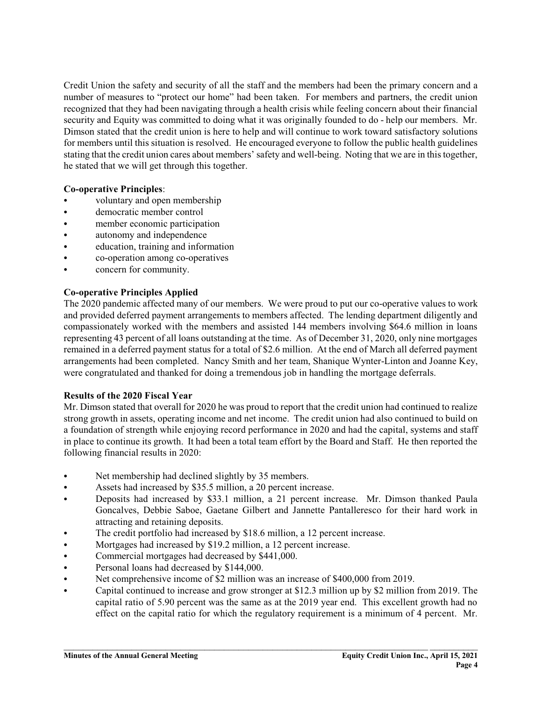Credit Union the safety and security of all the staff and the members had been the primary concern and a number of measures to "protect our home" had been taken. For members and partners, the credit union recognized that they had been navigating through a health crisis while feeling concern about their financial security and Equity was committed to doing what it was originally founded to do - help our members. Mr. Dimson stated that the credit union is here to help and will continue to work toward satisfactory solutions for members until this situation is resolved. He encouraged everyone to follow the public health guidelines stating that the credit union cares about members' safety and well-being. Noting that we are in this together, he stated that we will get through this together.

## **Co-operative Principles**:

- voluntary and open membership
- democratic member control
- member economic participation
- autonomy and independence
- education, training and information
- co-operation among co-operatives
- concern for community.

### **Co-operative Principles Applied**

The 2020 pandemic affected many of our members. We were proud to put our co-operative values to work and provided deferred payment arrangements to members affected. The lending department diligently and compassionately worked with the members and assisted 144 members involving \$64.6 million in loans representing 43 percent of all loans outstanding at the time. As of December 31, 2020, only nine mortgages remained in a deferred payment status for a total of \$2.6 million. At the end of March all deferred payment arrangements had been completed. Nancy Smith and her team, Shanique Wynter-Linton and Joanne Key, were congratulated and thanked for doing a tremendous job in handling the mortgage deferrals.

#### **Results of the 2020 Fiscal Year**

Mr. Dimson stated that overall for 2020 he was proud to report that the credit union had continued to realize strong growth in assets, operating income and net income. The credit union had also continued to build on a foundation of strength while enjoying record performance in 2020 and had the capital, systems and staff in place to continue its growth. It had been a total team effort by the Board and Staff. He then reported the following financial results in 2020:

- Net membership had declined slightly by 35 members.
- Assets had increased by \$35.5 million, a 20 percent increase.
- C Deposits had increased by \$33.1 million, a 21 percent increase. Mr. Dimson thanked Paula Goncalves, Debbie Saboe, Gaetane Gilbert and Jannette Pantalleresco for their hard work in attracting and retaining deposits.
- The credit portfolio had increased by \$18.6 million, a 12 percent increase.
- Mortgages had increased by \$19.2 million, a 12 percent increase.
- Commercial mortgages had decreased by \$441,000.
- Personal loans had decreased by \$144,000.
- Net comprehensive income of \$2 million was an increase of \$400,000 from 2019.
- C Capital continued to increase and grow stronger at \$12.3 million up by \$2 million from 2019. The capital ratio of 5.90 percent was the same as at the 2019 year end. This excellent growth had no effect on the capital ratio for which the regulatory requirement is a minimum of 4 percent. Mr.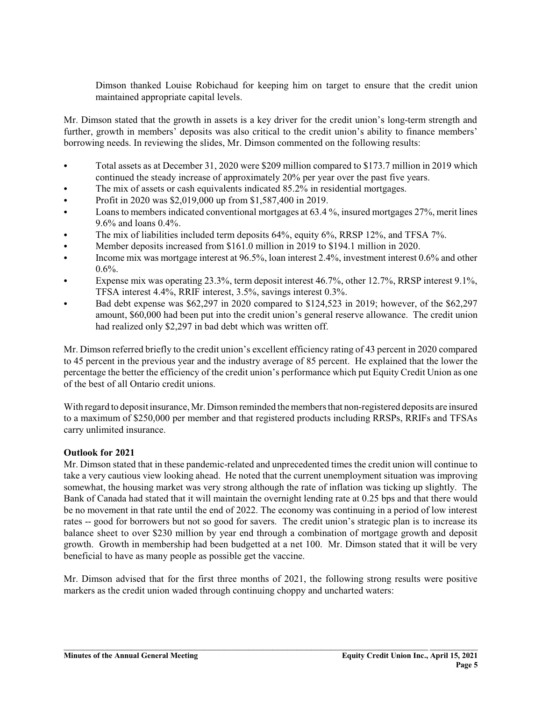Dimson thanked Louise Robichaud for keeping him on target to ensure that the credit union maintained appropriate capital levels.

Mr. Dimson stated that the growth in assets is a key driver for the credit union's long-term strength and further, growth in members' deposits was also critical to the credit union's ability to finance members' borrowing needs. In reviewing the slides, Mr. Dimson commented on the following results:

- C Total assets as at December 31, 2020 were \$209 million compared to \$173.7 million in 2019 which continued the steady increase of approximately 20% per year over the past five years.
- The mix of assets or cash equivalents indicated 85.2% in residential mortgages.
- Profit in 2020 was \$2,019,000 up from \$1,587,400 in 2019.
- Loans to members indicated conventional mortgages at 63.4%, insured mortgages 27%, merit lines 9.6% and loans 0.4%.
- The mix of liabilities included term deposits 64%, equity 6%, RRSP 12%, and TFSA 7%.
- Member deposits increased from \$161.0 million in 2019 to \$194.1 million in 2020.
- Income mix was mortgage interest at 96.5%, loan interest 2.4%, investment interest 0.6% and other  $0.6\%$ .
- Expense mix was operating  $23.3\%$ , term deposit interest 46.7%, other 12.7%, RRSP interest 9.1%, TFSA interest 4.4%, RRIF interest, 3.5%, savings interest 0.3%.
- C Bad debt expense was \$62,297 in 2020 compared to \$124,523 in 2019; however, of the \$62,297 amount, \$60,000 had been put into the credit union's general reserve allowance. The credit union had realized only \$2,297 in bad debt which was written off.

Mr. Dimson referred briefly to the credit union's excellent efficiency rating of 43 percent in 2020 compared to 45 percent in the previous year and the industry average of 85 percent. He explained that the lower the percentage the better the efficiency of the credit union's performance which put Equity Credit Union as one of the best of all Ontario credit unions.

With regard to deposit insurance, Mr. Dimson reminded the members that non-registered deposits are insured to a maximum of \$250,000 per member and that registered products including RRSPs, RRIFs and TFSAs carry unlimited insurance.

#### **Outlook for 2021**

Mr. Dimson stated that in these pandemic-related and unprecedented times the credit union will continue to take a very cautious view looking ahead. He noted that the current unemployment situation was improving somewhat, the housing market was very strong although the rate of inflation was ticking up slightly. The Bank of Canada had stated that it will maintain the overnight lending rate at 0.25 bps and that there would be no movement in that rate until the end of 2022. The economy was continuing in a period of low interest rates -- good for borrowers but not so good for savers. The credit union's strategic plan is to increase its balance sheet to over \$230 million by year end through a combination of mortgage growth and deposit growth. Growth in membership had been budgetted at a net 100. Mr. Dimson stated that it will be very beneficial to have as many people as possible get the vaccine.

Mr. Dimson advised that for the first three months of 2021, the following strong results were positive markers as the credit union waded through continuing choppy and uncharted waters: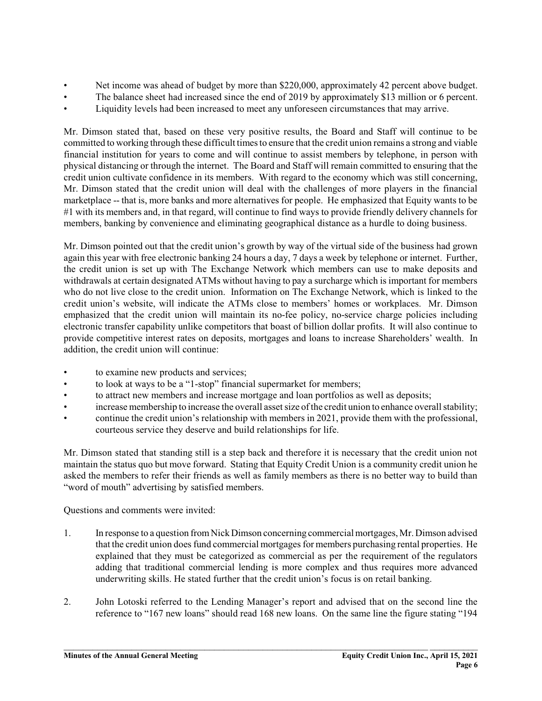- Net income was ahead of budget by more than \$220,000, approximately 42 percent above budget.
- The balance sheet had increased since the end of 2019 by approximately \$13 million or 6 percent.
- Liquidity levels had been increased to meet any unforeseen circumstances that may arrive.

Mr. Dimson stated that, based on these very positive results, the Board and Staff will continue to be committed to working through these difficult times to ensure that the credit union remains a strong and viable financial institution for years to come and will continue to assist members by telephone, in person with physical distancing or through the internet. The Board and Staff will remain committed to ensuring that the credit union cultivate confidence in its members. With regard to the economy which was still concerning, Mr. Dimson stated that the credit union will deal with the challenges of more players in the financial marketplace -- that is, more banks and more alternatives for people. He emphasized that Equity wants to be #1 with its members and, in that regard, will continue to find ways to provide friendly delivery channels for members, banking by convenience and eliminating geographical distance as a hurdle to doing business.

Mr. Dimson pointed out that the credit union's growth by way of the virtual side of the business had grown again this year with free electronic banking 24 hours a day, 7 days a week by telephone or internet. Further, the credit union is set up with The Exchange Network which members can use to make deposits and withdrawals at certain designated ATMs without having to pay a surcharge which is important for members who do not live close to the credit union. Information on The Exchange Network, which is linked to the credit union's website, will indicate the ATMs close to members' homes or workplaces. Mr. Dimson emphasized that the credit union will maintain its no-fee policy, no-service charge policies including electronic transfer capability unlike competitors that boast of billion dollar profits. It will also continue to provide competitive interest rates on deposits, mortgages and loans to increase Shareholders' wealth. In addition, the credit union will continue:

- to examine new products and services;
- to look at ways to be a "1-stop" financial supermarket for members;
- to attract new members and increase mortgage and loan portfolios as well as deposits;
- increase membership to increase the overall asset size of the credit union to enhance overall stability;
- continue the credit union's relationship with members in 2021, provide them with the professional, courteous service they deserve and build relationships for life.

Mr. Dimson stated that standing still is a step back and therefore it is necessary that the credit union not maintain the status quo but move forward. Stating that Equity Credit Union is a community credit union he asked the members to refer their friends as well as family members as there is no better way to build than "word of mouth" advertising by satisfied members.

Questions and comments were invited:

- 1. In response to a question fromNickDimson concerning commercialmortgages, Mr. Dimson advised that the credit union does fund commercial mortgages for members purchasing rental properties. He explained that they must be categorized as commercial as per the requirement of the regulators adding that traditional commercial lending is more complex and thus requires more advanced underwriting skills. He stated further that the credit union's focus is on retail banking.
- 2. John Lotoski referred to the Lending Manager's report and advised that on the second line the reference to "167 new loans" should read 168 new loans. On the same line the figure stating "194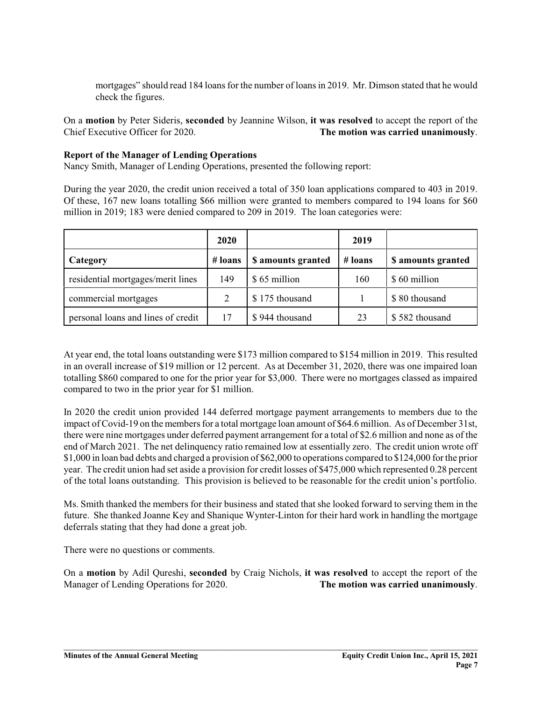mortgages" should read 184 loans for the number of loans in 2019. Mr. Dimson stated that he would check the figures.

On a **motion** by Peter Sideris, **seconded** by Jeannine Wilson, **it was resolved** to accept the report of the Chief Executive Officer for 2020. **The motion was carried unanimously**.

### **Report of the Manager of Lending Operations**

Nancy Smith, Manager of Lending Operations, presented the following report:

During the year 2020, the credit union received a total of 350 loan applications compared to 403 in 2019. Of these, 167 new loans totalling \$66 million were granted to members compared to 194 loans for \$60 million in 2019; 183 were denied compared to 209 in 2019. The loan categories were:

|                                    | 2020    |                    | 2019      |                    |
|------------------------------------|---------|--------------------|-----------|--------------------|
| Category                           | # loans | \$ amounts granted | $#$ loans | \$ amounts granted |
| residential mortgages/merit lines  | 149     | \$65 million       | 160       | \$60 million       |
| commercial mortgages               | 2       | \$175 thousand     |           | \$80 thousand      |
| personal loans and lines of credit | 17      | \$944 thousand     | 23        | \$582 thousand     |

At year end, the total loans outstanding were \$173 million compared to \$154 million in 2019. This resulted in an overall increase of \$19 million or 12 percent. As at December 31, 2020, there was one impaired loan totalling \$860 compared to one for the prior year for \$3,000. There were no mortgages classed as impaired compared to two in the prior year for \$1 million.

In 2020 the credit union provided 144 deferred mortgage payment arrangements to members due to the impact of Covid-19 on the members for a total mortgage loan amount of \$64.6 million. As of December 31st, there were nine mortgages under deferred payment arrangement for a total of \$2.6 million and none as of the end of March 2021. The net delinquency ratio remained low at essentially zero. The credit union wrote off \$1,000 in loan bad debts and charged a provision of \$62,000 to operations compared to \$124,000 forthe prior year. The credit union had set aside a provision for credit losses of \$475,000 which represented 0.28 percent of the total loans outstanding. This provision is believed to be reasonable for the credit union's portfolio.

Ms. Smith thanked the members for their business and stated that she looked forward to serving them in the future. She thanked Joanne Key and Shanique Wynter-Linton for their hard work in handling the mortgage deferrals stating that they had done a great job.

There were no questions or comments.

On a **motion** by Adil Qureshi, **seconded** by Craig Nichols, **it was resolved** to accept the report of the Manager of Lending Operations for 2020. **The motion was carried unanimously**.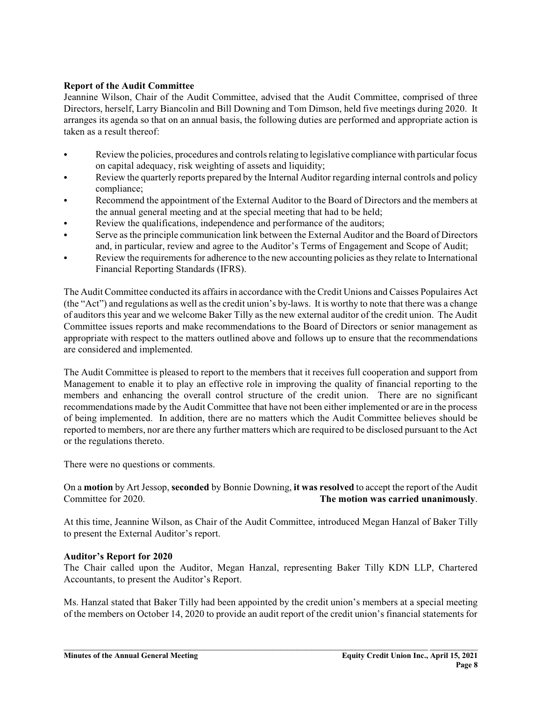## **Report of the Audit Committee**

Jeannine Wilson, Chair of the Audit Committee, advised that the Audit Committee, comprised of three Directors, herself, Larry Biancolin and Bill Downing and Tom Dimson, held five meetings during 2020. It arranges its agenda so that on an annual basis, the following duties are performed and appropriate action is taken as a result thereof:

- Review the policies, procedures and controls relating to legislative compliance with particular focus on capital adequacy, risk weighting of assets and liquidity;
- Review the quarterly reports prepared by the Internal Auditor regarding internal controls and policy compliance;
- Recommend the appointment of the External Auditor to the Board of Directors and the members at the annual general meeting and at the special meeting that had to be held;
- Review the qualifications, independence and performance of the auditors;
- C Serve as the principle communication link between the External Auditor and the Board of Directors and, in particular, review and agree to the Auditor's Terms of Engagement and Scope of Audit;
- Review the requirements for adherence to the new accounting policies as they relate to International Financial Reporting Standards (IFRS).

The Audit Committee conducted its affairs in accordance with the Credit Unions and Caisses Populaires Act (the "Act") and regulations as well as the credit union's by-laws. It is worthy to note that there was a change of auditors this year and we welcome Baker Tilly as the new external auditor of the credit union. The Audit Committee issues reports and make recommendations to the Board of Directors or senior management as appropriate with respect to the matters outlined above and follows up to ensure that the recommendations are considered and implemented.

The Audit Committee is pleased to report to the members that it receives full cooperation and support from Management to enable it to play an effective role in improving the quality of financial reporting to the members and enhancing the overall control structure of the credit union. There are no significant recommendations made by the Audit Committee that have not been either implemented or are in the process of being implemented. In addition, there are no matters which the Audit Committee believes should be reported to members, nor are there any further matters which are required to be disclosed pursuant to the Act or the regulations thereto.

There were no questions or comments.

### On a **motion** by Art Jessop, **seconded** by Bonnie Downing, **it was resolved** to accept the report of the Audit Committee for 2020. **The motion was carried unanimously**.

At this time, Jeannine Wilson, as Chair of the Audit Committee, introduced Megan Hanzal of Baker Tilly to present the External Auditor's report.

#### **Auditor's Report for 2020**

The Chair called upon the Auditor, Megan Hanzal, representing Baker Tilly KDN LLP, Chartered Accountants, to present the Auditor's Report.

Ms. Hanzal stated that Baker Tilly had been appointed by the credit union's members at a special meeting of the members on October 14, 2020 to provide an audit report of the credit union's financial statements for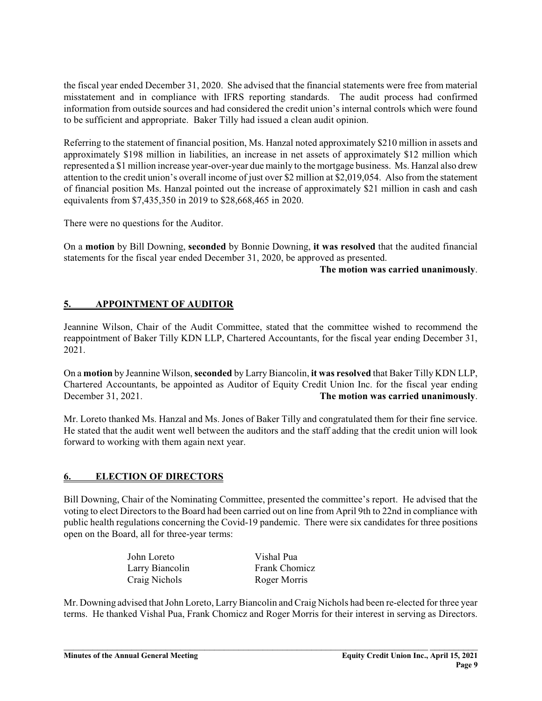the fiscal year ended December 31, 2020. She advised that the financial statements were free from material misstatement and in compliance with IFRS reporting standards. The audit process had confirmed information from outside sources and had considered the credit union's internal controls which were found to be sufficient and appropriate. Baker Tilly had issued a clean audit opinion.

Referring to the statement of financial position, Ms. Hanzal noted approximately \$210 million in assets and approximately \$198 million in liabilities, an increase in net assets of approximately \$12 million which represented a \$1 million increase year-over-year due mainly to the mortgage business. Ms. Hanzal also drew attention to the credit union's overall income of just over \$2 million at \$2,019,054. Also from the statement of financial position Ms. Hanzal pointed out the increase of approximately \$21 million in cash and cash equivalents from \$7,435,350 in 2019 to \$28,668,465 in 2020.

There were no questions for the Auditor.

On a **motion** by Bill Downing, **seconded** by Bonnie Downing, **it was resolved** that the audited financial statements for the fiscal year ended December 31, 2020, be approved as presented.

#### **The motion was carried unanimously**.

# **5. APPOINTMENT OF AUDITOR**

Jeannine Wilson, Chair of the Audit Committee, stated that the committee wished to recommend the reappointment of Baker Tilly KDN LLP, Chartered Accountants, for the fiscal year ending December 31, 2021.

On a **motion** by Jeannine Wilson, **seconded** by LarryBiancolin, **it was resolved** that Baker Tilly KDN LLP, Chartered Accountants, be appointed as Auditor of Equity Credit Union Inc. for the fiscal year ending December 31, 2021. **The motion was carried unanimously**.

Mr. Loreto thanked Ms. Hanzal and Ms. Jones of Baker Tilly and congratulated them for their fine service. He stated that the audit went well between the auditors and the staff adding that the credit union will look forward to working with them again next year.

## **6. ELECTION OF DIRECTORS**

Bill Downing, Chair of the Nominating Committee, presented the committee's report. He advised that the voting to elect Directors to the Board had been carried out on line from April 9th to 22nd in compliance with public health regulations concerning the Covid-19 pandemic. There were six candidates for three positions open on the Board, all for three-year terms:

| John Loreto     |  |
|-----------------|--|
| Larry Biancolin |  |
| Craig Nichols   |  |

Vishal Pua Frank Chomicz Roger Morris

Mr. Downing advised that John Loreto, Larry Biancolin and Craig Nichols had been re-elected for three year terms. He thanked Vishal Pua, Frank Chomicz and Roger Morris for their interest in serving as Directors.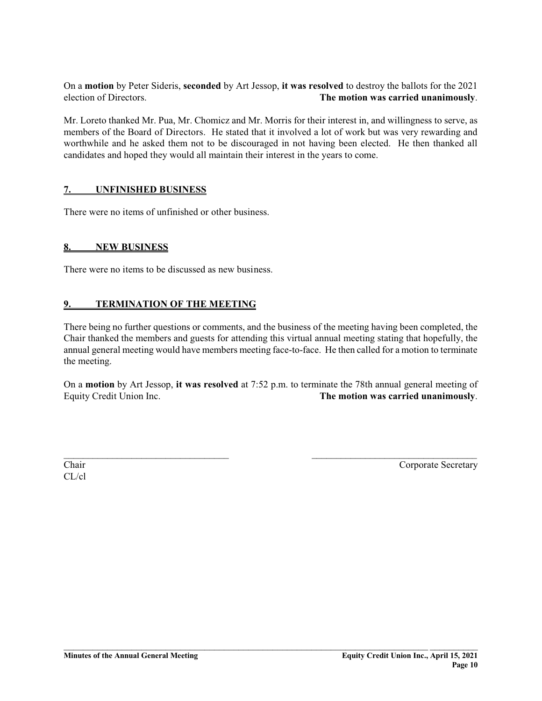On a **motion** by Peter Sideris, **seconded** by Art Jessop, **it was resolved** to destroy the ballots for the 2021 election of Directors. **The motion was carried unanimously**.

Mr. Loreto thanked Mr. Pua, Mr. Chomicz and Mr. Morris for their interest in, and willingness to serve, as members of the Board of Directors. He stated that it involved a lot of work but was very rewarding and worthwhile and he asked them not to be discouraged in not having been elected. He then thanked all candidates and hoped they would all maintain their interest in the years to come.

### **7. UNFINISHED BUSINESS**

There were no items of unfinished or other business.

#### **8. NEW BUSINESS**

There were no items to be discussed as new business.

### **9. TERMINATION OF THE MEETING**

There being no further questions or comments, and the business of the meeting having been completed, the Chair thanked the members and guests for attending this virtual annual meeting stating that hopefully, the annual general meeting would have members meeting face-to-face. He then called for a motion to terminate the meeting.

On a **motion** by Art Jessop, **it was resolved** at 7:52 p.m. to terminate the 78th annual general meeting of Equity Credit Union Inc. **The motion was carried unanimously**.

 $\_$  , and the contribution of  $\_$  , and  $\_$  , and  $\_$  , and  $\_$  , and  $\_$  , and  $\_$  , and  $\_$  , and  $\_$ 

\_\_\_\_\_\_\_\_\_\_\_\_\_\_\_\_\_\_\_\_\_\_\_\_\_\_\_\_\_\_\_\_\_\_\_\_\_\_\_\_\_\_\_\_\_\_\_\_\_\_\_\_\_\_\_\_\_\_\_\_\_\_\_\_\_\_\_\_\_\_\_\_\_\_\_ \_\_\_\_\_\_\_\_\_\_

CL/cl

Chair Corporate Secretary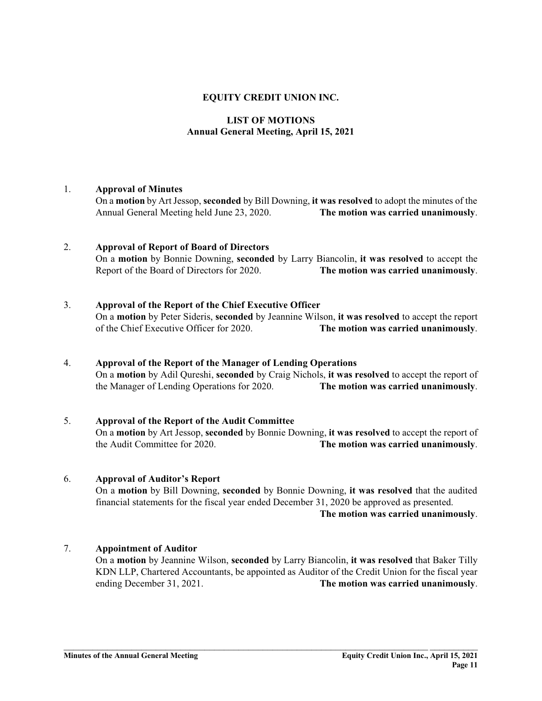### **EQUITY CREDIT UNION INC.**

## **LIST OF MOTIONS Annual General Meeting, April 15, 2021**

#### 1. **Approval of Minutes**

On a **motion** by Art Jessop, **seconded** by Bill Downing, **it was resolved** to adopt the minutes of the Annual General Meeting held June 23, 2020. **The motion was carried unanimously**.

#### 2. **Approval of Report of Board of Directors**

On a **motion** by Bonnie Downing, **seconded** by Larry Biancolin, **it was resolved** to accept the Report of the Board of Directors for 2020. **The motion was carried unanimously**.

#### 3. **Approval of the Report of the Chief Executive Officer**

On a **motion** by Peter Sideris, **seconded** by Jeannine Wilson, **it was resolved** to accept the report of the Chief Executive Officer for 2020. **The motion was carried unanimously**.

#### 4. **Approval of the Report of the Manager of Lending Operations**

On a **motion** by Adil Qureshi, **seconded** by Craig Nichols, **it was resolved** to accept the report of the Manager of Lending Operations for 2020. **The motion was carried unanimously**.

## 5. **Approval of the Report of the Audit Committee**

On a **motion** by Art Jessop, **seconded** by Bonnie Downing, **it was resolved** to accept the report of the Audit Committee for 2020. **The motion was carried unanimously**.

#### 6. **Approval of Auditor's Report**

On a **motion** by Bill Downing, **seconded** by Bonnie Downing, **it was resolved** that the audited financial statements for the fiscal year ended December 31, 2020 be approved as presented.

**The motion was carried unanimously**.

## 7. **Appointment of Auditor**

On a **motion** by Jeannine Wilson, **seconded** by Larry Biancolin, **it was resolved** that Baker Tilly KDN LLP, Chartered Accountants, be appointed as Auditor of the Credit Union for the fiscal year ending December 31, 2021. **The motion was carried unanimously**.